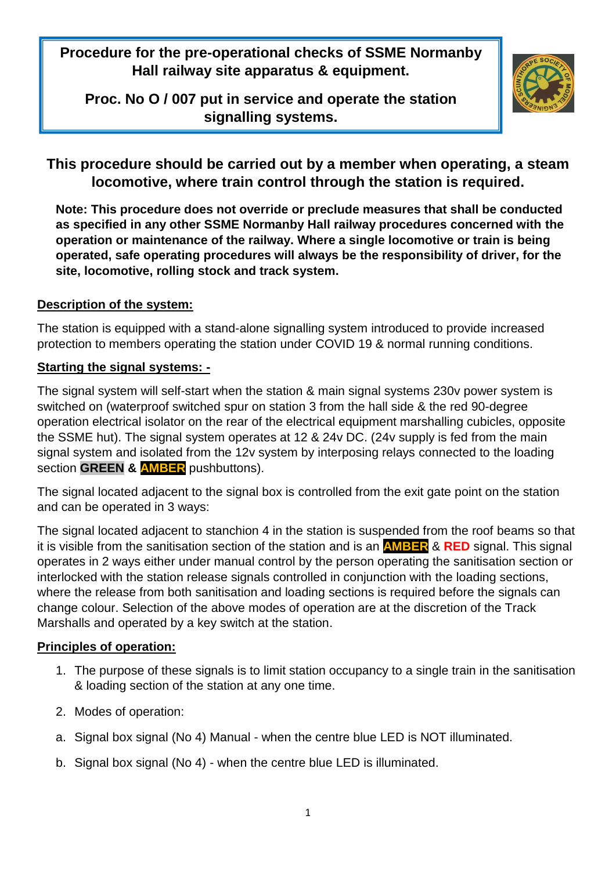**Procedure for the pre-operational checks of SSME Normanby Hall railway site apparatus & equipment.**

**Proc. No O / 007 put in service and operate the station signalling systems.**



# **This procedure should be carried out by a member when operating, a steam locomotive, where train control through the station is required.**

**Note: This procedure does not override or preclude measures that shall be conducted as specified in any other SSME Normanby Hall railway procedures concerned with the operation or maintenance of the railway. Where a single locomotive or train is being operated, safe operating procedures will always be the responsibility of driver, for the site, locomotive, rolling stock and track system.**

### **Description of the system:**

The station is equipped with a stand-alone signalling system introduced to provide increased protection to members operating the station under COVID 19 & normal running conditions.

# **Starting the signal systems: -**

The signal system will self-start when the station & main signal systems 230v power system is switched on (waterproof switched spur on station 3 from the hall side & the red 90-degree operation electrical isolator on the rear of the electrical equipment marshalling cubicles, opposite the SSME hut). The signal system operates at 12 & 24v DC. (24v supply is fed from the main signal system and isolated from the 12v system by interposing relays connected to the loading section **GREEN & AMBER** pushbuttons).

The signal located adjacent to the signal box is controlled from the exit gate point on the station and can be operated in 3 ways:

The signal located adjacent to stanchion 4 in the station is suspended from the roof beams so that it is visible from the sanitisation section of the station and is an **AMBER** & **RED** signal. This signal operates in 2 ways either under manual control by the person operating the sanitisation section or interlocked with the station release signals controlled in conjunction with the loading sections, where the release from both sanitisation and loading sections is required before the signals can change colour. Selection of the above modes of operation are at the discretion of the Track Marshalls and operated by a key switch at the station.

# **Principles of operation:**

- 1. The purpose of these signals is to limit station occupancy to a single train in the sanitisation & loading section of the station at any one time.
- 2. Modes of operation:
- a. Signal box signal (No 4) Manual when the centre blue LED is NOT illuminated.
- b. Signal box signal (No 4) when the centre blue LED is illuminated.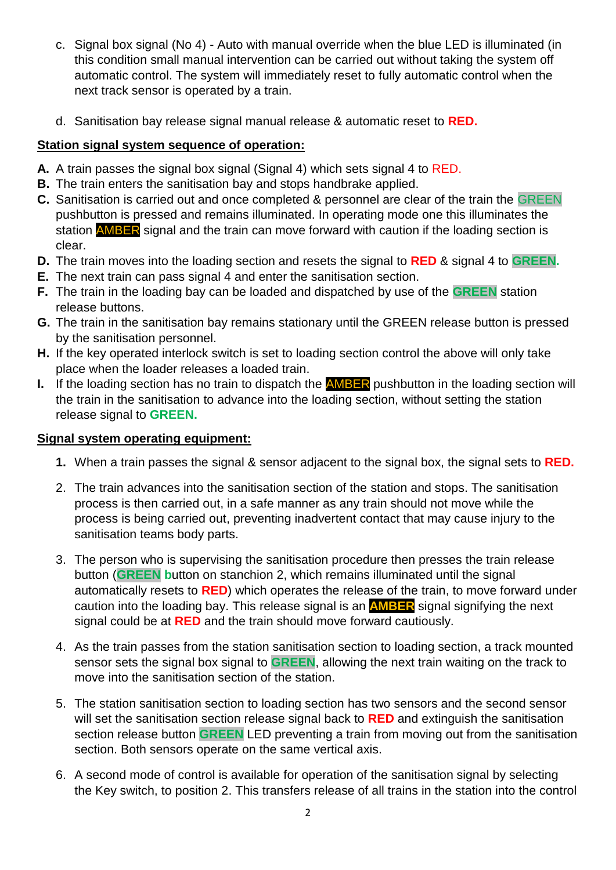- c. Signal box signal (No 4) Auto with manual override when the blue LED is illuminated (in this condition small manual intervention can be carried out without taking the system off automatic control. The system will immediately reset to fully automatic control when the next track sensor is operated by a train.
- d. Sanitisation bay release signal manual release & automatic reset to **RED.**

## **Station signal system sequence of operation:**

- **A.** A train passes the signal box signal (Signal 4) which sets signal 4 to RED.
- **B.** The train enters the sanitisation bay and stops handbrake applied.
- **C.** Sanitisation is carried out and once completed & personnel are clear of the train the GREEN pushbutton is pressed and remains illuminated. In operating mode one this illuminates the station **AMBER** signal and the train can move forward with caution if the loading section is clear.
- **D.** The train moves into the loading section and resets the signal to **RED** & signal 4 to **GREEN.**
- **E.** The next train can pass signal 4 and enter the sanitisation section.
- **F.** The train in the loading bay can be loaded and dispatched by use of the **GREEN** station release buttons.
- **G.** The train in the sanitisation bay remains stationary until the GREEN release button is pressed by the sanitisation personnel.
- **H.** If the key operated interlock switch is set to loading section control the above will only take place when the loader releases a loaded train.
- **I.** If the loading section has no train to dispatch the **AMBER** pushbutton in the loading section will the train in the sanitisation to advance into the loading section, without setting the station release signal to **GREEN.**

#### **Signal system operating equipment:**

- **1.** When a train passes the signal & sensor adjacent to the signal box, the signal sets to **RED.**
- 2. The train advances into the sanitisation section of the station and stops. The sanitisation process is then carried out, in a safe manner as any train should not move while the process is being carried out, preventing inadvertent contact that may cause injury to the sanitisation teams body parts.
- 3. The person who is supervising the sanitisation procedure then presses the train release button (**GREEN b**utton on stanchion 2, which remains illuminated until the signal automatically resets to **RED**) which operates the release of the train, to move forward under caution into the loading bay. This release signal is an **AMBER** signal signifying the next signal could be at **RED** and the train should move forward cautiously.
- 4. As the train passes from the station sanitisation section to loading section, a track mounted sensor sets the signal box signal to **GREEN**, allowing the next train waiting on the track to move into the sanitisation section of the station.
- 5. The station sanitisation section to loading section has two sensors and the second sensor will set the sanitisation section release signal back to **RED** and extinguish the sanitisation section release button **GREEN** LED preventing a train from moving out from the sanitisation section. Both sensors operate on the same vertical axis.
- 6. A second mode of control is available for operation of the sanitisation signal by selecting the Key switch, to position 2. This transfers release of all trains in the station into the control